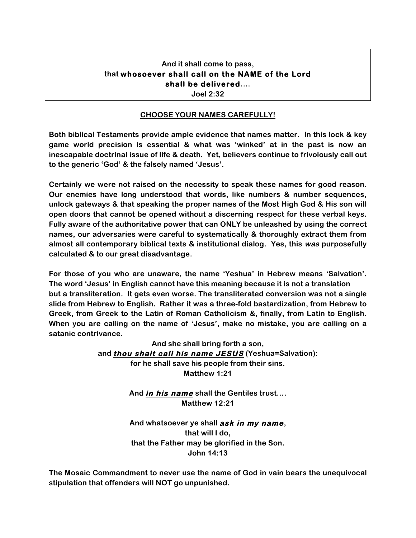# **And it shall come to pass, that whosoever shall call on the NAME of the Lord shall be delivered….**

**Joel 2:32**

#### **CHOOSE YOUR NAMES CAREFULLY!**

**Both biblical Testaments provide ample evidence that names matter. In this lock & key game world precision is essential & what was 'winked' at in the past is now an inescapable doctrinal issue of life & death. Yet, believers continue to frivolously call out to the generic 'God' & the falsely named 'Jesus'.** 

**Certainly we were not raised on the necessity to speak these names for good reason. Our enemies have long understood that words, like numbers & number sequences, unlock gateways & that speaking the proper names of the Most High God & His son will open doors that cannot be opened without a discerning respect for these verbal keys. Fully aware of the authoritative power that can ONLY be unleashed by using the correct names, our adversaries were careful to systematically & thoroughly extract them from almost all contemporary biblical texts & institutional dialog. Yes, this was purposefully calculated & to our great disadvantage.** 

**For those of you who are unaware, the name 'Yeshua' in Hebrew means 'Salvation'. The word 'Jesus' in English cannot have this meaning because it is not a translation but a transliteration. It gets even worse. The transliterated conversion was not a single slide from Hebrew to English. Rather it was a three-fold bastardization, from Hebrew to Greek, from Greek to the Latin of Roman Catholicism &, finally, from Latin to English. When you are calling on the name of 'Jesus', make no mistake, you are calling on a satanic contrivance.**

> **And she shall bring forth a son, and thou shalt call his name JESUS (Yeshua=Salvation): for he shall save his people from their sins. Matthew 1:21**

> > **And in his name shall the Gentiles trust…. Matthew 12:21**

> > **And whatsoever ye shall ask in my name, that will I do, that the Father may be glorified in the Son. John 14:13**

**The Mosaic Commandment to never use the name of God in vain bears the unequivocal stipulation that offenders will NOT go unpunished.**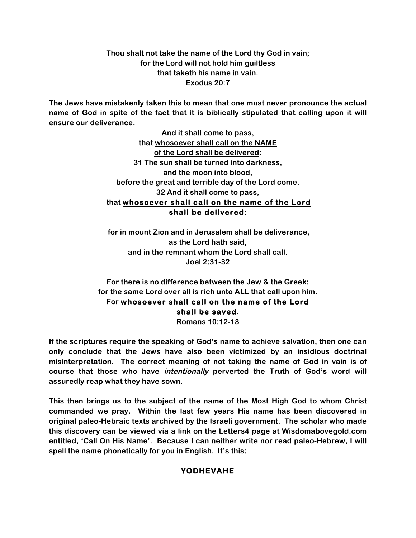**Thou shalt not take the name of the Lord thy God in vain; for the Lord will not hold him guiltless that taketh his name in vain. Exodus 20:7**

**The Jews have mistakenly taken this to mean that one must never pronounce the actual name of God in spite of the fact that it is biblically stipulated that calling upon it will ensure our deliverance.** 

> **And it shall come to pass, that whosoever shall call on the NAME of the Lord shall be delivered: 31 The sun shall be turned into darkness, and the moon into blood, before the great and terrible day of the Lord come. 32 And it shall come to pass, that whosoever shall call on the name of the Lord shall be delivered:**

**for in mount Zion and in Jerusalem shall be deliverance, as the Lord hath said, and in the remnant whom the Lord shall call. Joel 2:31-32**

**For there is no difference between the Jew & the Greek: for the same Lord over all is rich unto ALL that call upon him. For whosoever shall call on the name of the Lord shall be saved. Romans 10:12-13**

**If the scriptures require the speaking of God's name to achieve salvation, then one can only conclude that the Jews have also been victimized by an insidious doctrinal misinterpretation. The correct meaning of not taking the name of God in vain is of course that those who have intentionally perverted the Truth of God's word will assuredly reap what they have sown.**

**This then brings us to the subject of the name of the Most High God to whom Christ commanded we pray. Within the last few years His name has been discovered in original paleo-Hebraic texts archived by the Israeli government. The scholar who made this discovery can be viewed via a link on the Letters4 page at Wisdomabovegold.com entitled, 'Call On His Name'. Because I can neither write nor read paleo-Hebrew, I will spell the name phonetically for you in English. It's this:**

## **YODHEVAHE**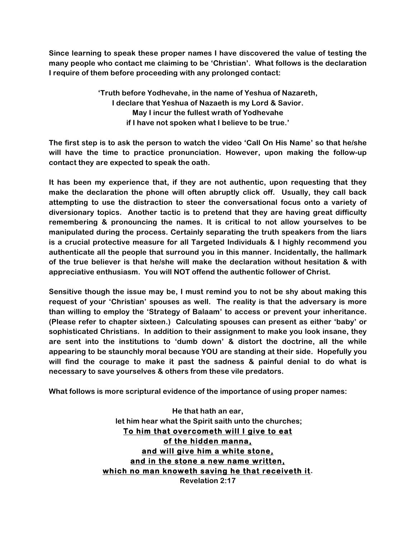**Since learning to speak these proper names I have discovered the value of testing the many people who contact me claiming to be 'Christian'. What follows is the declaration I require of them before proceeding with any prolonged contact:**

> **'Truth before Yodhevahe, in the name of Yeshua of Nazareth, I declare that Yeshua of Nazaeth is my Lord & Savior. May I incur the fullest wrath of Yodhevahe if I have not spoken what I believe to be true.'**

**The first step is to ask the person to watch the video 'Call On His Name' so that he/she will have the time to practice pronunciation. However, upon making the follow-up contact they are expected to speak the oath.** 

**It has been my experience that, if they are not authentic, upon requesting that they make the declaration the phone will often abruptly click off. Usually, they call back attempting to use the distraction to steer the conversational focus onto a variety of diversionary topics. Another tactic is to pretend that they are having great difficulty remembering & pronouncing the names. It is critical to not allow yourselves to be manipulated during the process. Certainly separating the truth speakers from the liars is a crucial protective measure for all Targeted Individuals & I highly recommend you authenticate all the people that surround you in this manner. Incidentally, the hallmark of the true believer is that he/she will make the declaration without hesitation & with appreciative enthusiasm. You will NOT offend the authentic follower of Christ.**

**Sensitive though the issue may be, I must remind you to not be shy about making this request of your 'Christian' spouses as well. The reality is that the adversary is more than willing to employ the 'Strategy of Balaam' to access or prevent your inheritance. (Please refer to chapter sixteen.) Calculating spouses can present as either 'baby' or sophisticated Christians. In addition to their assignment to make you look insane, they are sent into the institutions to 'dumb down' & distort the doctrine, all the while appearing to be staunchly moral because YOU are standing at their side. Hopefully you will find the courage to make it past the sadness & painful denial to do what is necessary to save yourselves & others from these vile predators.** 

**What follows is more scriptural evidence of the importance of using proper names:**

**He that hath an ear, let him hear what the Spirit saith unto the churches; To him that overcometh will I give to eat of the hidden manna, and will give him a white stone, and in the stone a new name written, which no man knoweth saving he that receiveth it. Revelation 2:17**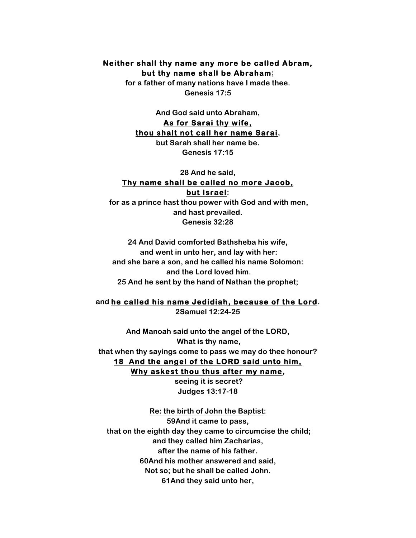### **Neither shall thy name any more be called Abram, but thy name shall be Abraham;**

**for a father of many nations have I made thee. Genesis 17:5**

**And God said unto Abraham, As for Sarai thy wife, thou shalt not call her name Sarai,** 

**but Sarah shall her name be. Genesis 17:15**

### **28 And he said, Thy name shall be called no more Jacob, but Israel:**

**for as a prince hast thou power with God and with men, and hast prevailed. Genesis 32:28**

**24 And David comforted Bathsheba his wife, and went in unto her, and lay with her: and she bare a son, and he called his name Solomon: and the Lord loved him. 25 And he sent by the hand of Nathan the prophet;**

#### **and he called his name Jedidiah, because of the Lord. 2Samuel 12:24-25**

**And Manoah said unto the angel of the LORD, What is thy name, that when thy sayings come to pass we may do thee honour? 18 And the angel of the LORD said unto him, Why askest thou thus after my name,**

> **seeing it is secret? Judges 13:17-18**

**Re: the birth of John the Baptist: 59And it came to pass, that on the eighth day they came to circumcise the child; and they called him Zacharias, after the name of his father. 60And his mother answered and said, Not so; but he shall be called John. 61And they said unto her,**